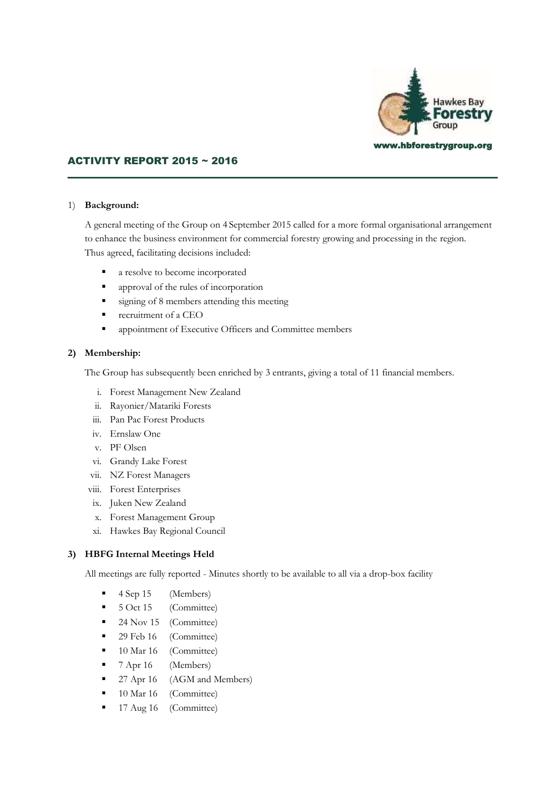

## ACTIVITY REPORT 2015 ~ 2016

#### 1) **Background:**

A general meeting of the Group on 4 September 2015 called for a more formal organisational arrangement to enhance the business environment for commercial forestry growing and processing in the region. Thus agreed, facilitating decisions included:

- a resolve to become incorporated
- approval of the rules of incorporation
- signing of 8 members attending this meeting
- **•** recruitment of a CEO
- **•** appointment of Executive Officers and Committee members

#### **2) Membership:**

The Group has subsequently been enriched by 3 entrants, giving a total of 11 financial members.

- i. Forest Management New Zealand
- ii. Rayonier/Matariki Forests
- iii. Pan Pac Forest Products
- iv. Ernslaw One
- v. PF Olsen
- vi. Grandy Lake Forest
- vii. NZ Forest Managers
- viii. Forest Enterprises
- ix. Juken New Zealand
- x. Forest Management Group
- xi. Hawkes Bay Regional Council

#### **3) HBFG Internal Meetings Held**

All meetings are fully reported - Minutes shortly to be available to all via a drop-box facility

- 4 Sep 15 (Members)
- 5 Oct 15 (Committee)
- 24 Nov 15 (Committee)
- 29 Feb 16 (Committee)
- 10 Mar 16 (Committee)
- 7 Apr 16 (Members)
- 27 Apr 16 (AGM and Members)
- 10 Mar 16 (Committee)
- 17 Aug 16 (Committee)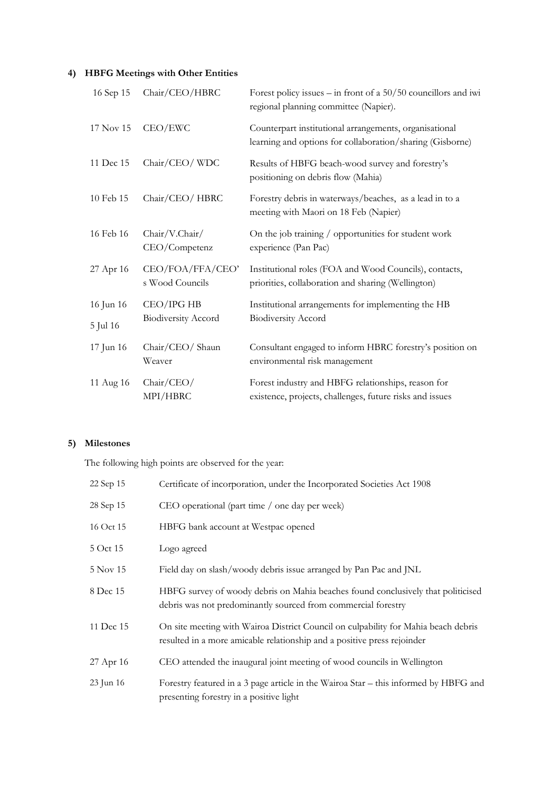# **4) HBFG Meetings with Other Entities**

| 16 Sep 15             | Chair/CEO/HBRC                           | Forest policy issues – in front of a $50/50$ councillors and iwi<br>regional planning committee (Napier).           |
|-----------------------|------------------------------------------|---------------------------------------------------------------------------------------------------------------------|
| 17 Nov 15             | CEO/EWC                                  | Counterpart institutional arrangements, organisational<br>learning and options for collaboration/sharing (Gisborne) |
| 11 Dec 15             | Chair/CEO/WDC                            | Results of HBFG beach-wood survey and forestry's<br>positioning on debris flow (Mahia)                              |
| 10 Feb 15             | Chair/CEO/HBRC                           | Forestry debris in waterways/beaches, as a lead in to a<br>meeting with Maori on 18 Feb (Napier)                    |
| 16 Feb 16             | Chair/V.Chair/<br>CEO/Competenz          | On the job training / opportunities for student work<br>experience (Pan Pac)                                        |
| 27 Apr 16             | CEO/FOA/FFA/CEO'<br>s Wood Councils      | Institutional roles (FOA and Wood Councils), contacts,<br>priorities, collaboration and sharing (Wellington)        |
| 16 Jun 16<br>5 Jul 16 | CEO/IPG HB<br><b>Biodiversity Accord</b> | Institutional arrangements for implementing the HB<br><b>Biodiversity Accord</b>                                    |
| 17 Jun 16             | Chair/CEO/ Shaun<br>Weaver               | Consultant engaged to inform HBRC forestry's position on<br>environmental risk management                           |
| 11 Aug 16             | Chair/CEO/<br>MPI/HBRC                   | Forest industry and HBFG relationships, reason for<br>existence, projects, challenges, future risks and issues      |

## **5) Milestones**

The following high points are observed for the year:

| 22 Sep 15 | Certificate of incorporation, under the Incorporated Societies Act 1908                                                                                       |  |
|-----------|---------------------------------------------------------------------------------------------------------------------------------------------------------------|--|
| 28 Sep 15 | CEO operational (part time / one day per week)                                                                                                                |  |
| 16 Oct 15 | HBFG bank account at Westpac opened                                                                                                                           |  |
| 5 Oct 15  | Logo agreed                                                                                                                                                   |  |
| 5 Nov 15  | Field day on slash/woody debris issue arranged by Pan Pac and JNL                                                                                             |  |
| 8 Dec 15  | HBFG survey of woody debris on Mahia beaches found conclusively that politicised<br>debris was not predominantly sourced from commercial forestry             |  |
| 11 Dec 15 | On site meeting with Wairoa District Council on culpability for Mahia beach debris<br>resulted in a more amicable relationship and a positive press rejoinder |  |
| 27 Apr 16 | CEO attended the inaugural joint meeting of wood councils in Wellington                                                                                       |  |
| 23 Jun 16 | Forestry featured in a 3 page article in the Wairoa Star – this informed by HBFG and<br>presenting forestry in a positive light                               |  |